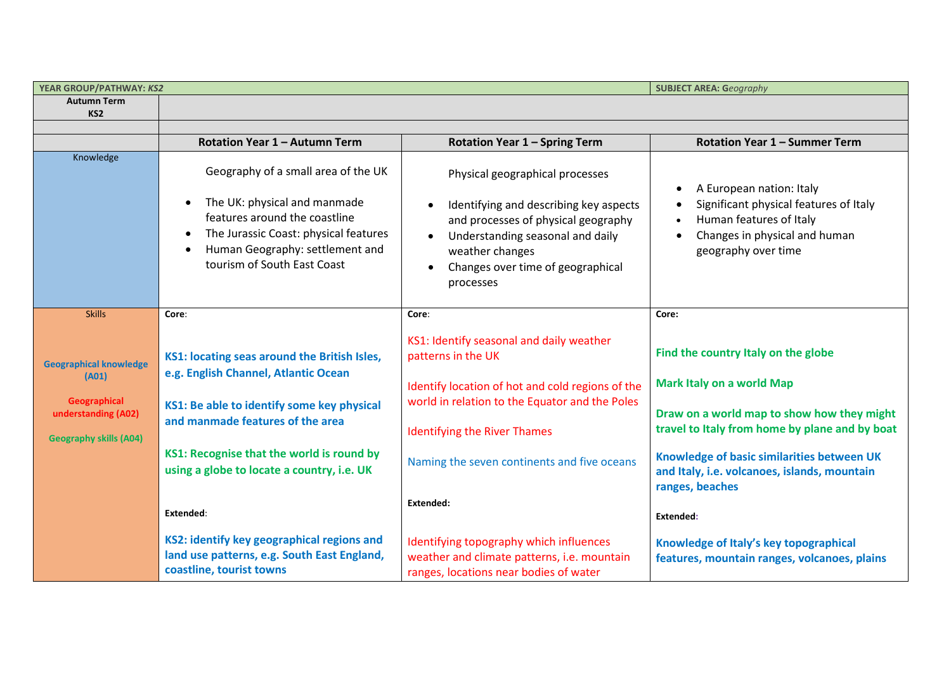| YEAR GROUP/PATHWAY: KS2                                                                                               |                                                                                                                                                                                                                                                                                |                                                                                                                                                                                                                                                                         | <b>SUBJECT AREA: Geography</b>                                                                                                                                                                                                                                                                        |
|-----------------------------------------------------------------------------------------------------------------------|--------------------------------------------------------------------------------------------------------------------------------------------------------------------------------------------------------------------------------------------------------------------------------|-------------------------------------------------------------------------------------------------------------------------------------------------------------------------------------------------------------------------------------------------------------------------|-------------------------------------------------------------------------------------------------------------------------------------------------------------------------------------------------------------------------------------------------------------------------------------------------------|
| <b>Autumn Term</b>                                                                                                    |                                                                                                                                                                                                                                                                                |                                                                                                                                                                                                                                                                         |                                                                                                                                                                                                                                                                                                       |
| KS <sub>2</sub>                                                                                                       |                                                                                                                                                                                                                                                                                |                                                                                                                                                                                                                                                                         |                                                                                                                                                                                                                                                                                                       |
|                                                                                                                       | Rotation Year 1 - Autumn Term                                                                                                                                                                                                                                                  | <b>Rotation Year 1 - Spring Term</b>                                                                                                                                                                                                                                    | Rotation Year 1 - Summer Term                                                                                                                                                                                                                                                                         |
| Knowledge                                                                                                             | Geography of a small area of the UK<br>The UK: physical and manmade<br>$\bullet$<br>features around the coastline<br>The Jurassic Coast: physical features<br>Human Geography: settlement and<br>tourism of South East Coast                                                   | Physical geographical processes<br>Identifying and describing key aspects<br>and processes of physical geography<br>Understanding seasonal and daily<br>weather changes<br>Changes over time of geographical<br>processes                                               | A European nation: Italy<br>Significant physical features of Italy<br>Human features of Italy<br>Changes in physical and human<br>geography over time                                                                                                                                                 |
| <b>Skills</b>                                                                                                         | Core:                                                                                                                                                                                                                                                                          | Core:                                                                                                                                                                                                                                                                   | Core:                                                                                                                                                                                                                                                                                                 |
| <b>Geographical knowledge</b><br>(A01)<br><b>Geographical</b><br>understanding (A02)<br><b>Geography skills (A04)</b> | KS1: locating seas around the British Isles,<br>e.g. English Channel, Atlantic Ocean<br>KS1: Be able to identify some key physical<br>and manmade features of the area<br>KS1: Recognise that the world is round by<br>using a globe to locate a country, i.e. UK<br>Extended: | KS1: Identify seasonal and daily weather<br>patterns in the UK<br>Identify location of hot and cold regions of the<br>world in relation to the Equator and the Poles<br><b>Identifying the River Thames</b><br>Naming the seven continents and five oceans<br>Extended: | Find the country Italy on the globe<br><b>Mark Italy on a world Map</b><br>Draw on a world map to show how they might<br>travel to Italy from home by plane and by boat<br>Knowledge of basic similarities between UK<br>and Italy, i.e. volcanoes, islands, mountain<br>ranges, beaches<br>Extended: |
|                                                                                                                       | KS2: identify key geographical regions and<br>land use patterns, e.g. South East England,<br>coastline, tourist towns                                                                                                                                                          | Identifying topography which influences<br>weather and climate patterns, i.e. mountain<br>ranges, locations near bodies of water                                                                                                                                        | Knowledge of Italy's key topographical<br>features, mountain ranges, volcanoes, plains                                                                                                                                                                                                                |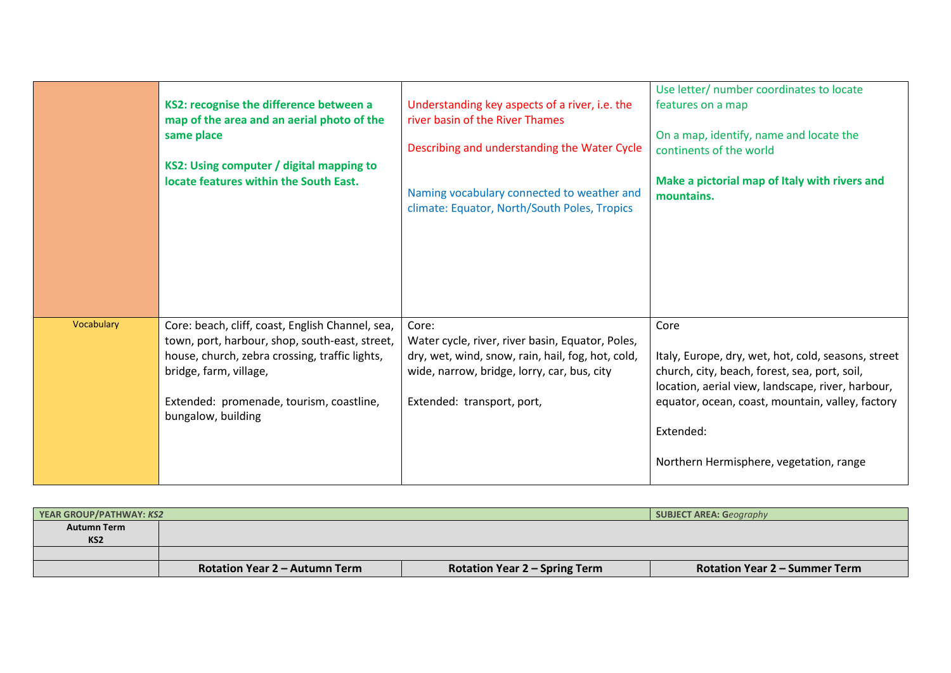|            | KS2: recognise the difference between a<br>map of the area and an aerial photo of the<br>same place<br>KS2: Using computer / digital mapping to<br>locate features within the South East.                                                        | Understanding key aspects of a river, i.e. the<br>river basin of the River Thames<br>Describing and understanding the Water Cycle<br>Naming vocabulary connected to weather and<br>climate: Equator, North/South Poles, Tropics | Use letter/ number coordinates to locate<br>features on a map<br>On a map, identify, name and locate the<br>continents of the world<br>Make a pictorial map of Italy with rivers and<br>mountains.                                                                            |
|------------|--------------------------------------------------------------------------------------------------------------------------------------------------------------------------------------------------------------------------------------------------|---------------------------------------------------------------------------------------------------------------------------------------------------------------------------------------------------------------------------------|-------------------------------------------------------------------------------------------------------------------------------------------------------------------------------------------------------------------------------------------------------------------------------|
| Vocabulary | Core: beach, cliff, coast, English Channel, sea,<br>town, port, harbour, shop, south-east, street,<br>house, church, zebra crossing, traffic lights,<br>bridge, farm, village,<br>Extended: promenade, tourism, coastline,<br>bungalow, building | Core:<br>Water cycle, river, river basin, Equator, Poles,<br>dry, wet, wind, snow, rain, hail, fog, hot, cold,<br>wide, narrow, bridge, lorry, car, bus, city<br>Extended: transport, port,                                     | Core<br>Italy, Europe, dry, wet, hot, cold, seasons, street<br>church, city, beach, forest, sea, port, soil,<br>location, aerial view, landscape, river, harbour,<br>equator, ocean, coast, mountain, valley, factory<br>Extended:<br>Northern Hermisphere, vegetation, range |

| <b>YEAR GROUP/PATHWAY: KS2</b> |                                      |                                      | <b>SUBJECT AREA: Geography</b>       |
|--------------------------------|--------------------------------------|--------------------------------------|--------------------------------------|
| <b>Autumn Term</b>             |                                      |                                      |                                      |
| KS <sub>2</sub>                |                                      |                                      |                                      |
|                                |                                      |                                      |                                      |
|                                | <b>Rotation Year 2 – Autumn Term</b> | <b>Rotation Year 2 - Spring Term</b> | <b>Rotation Year 2 – Summer Term</b> |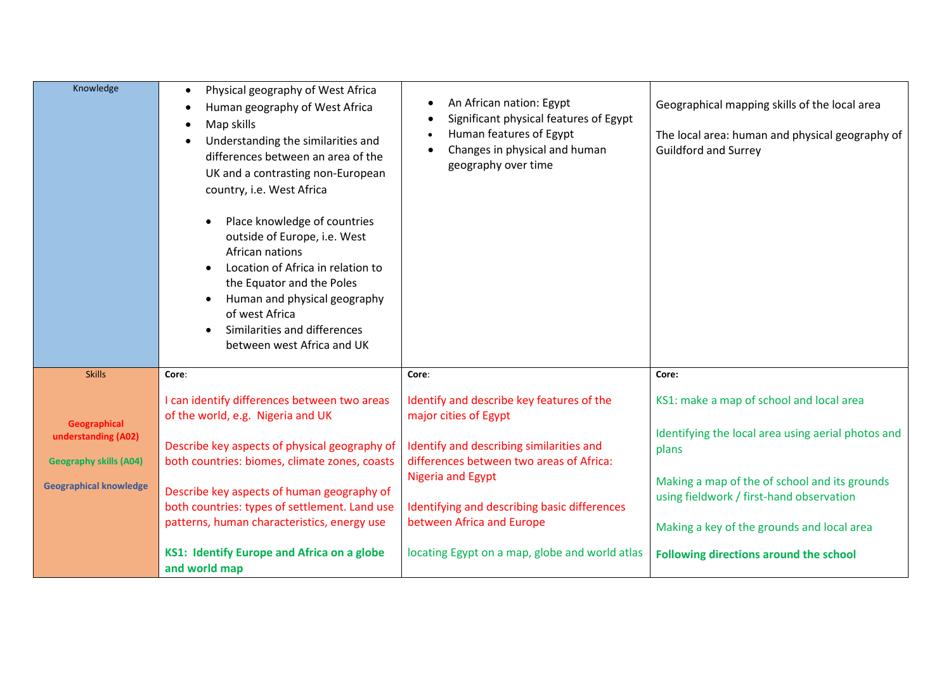| Knowledge                                                                                             | Physical geography of West Africa<br>$\bullet$<br>Human geography of West Africa<br>Map skills<br>$\bullet$<br>Understanding the similarities and<br>differences between an area of the<br>UK and a contrasting non-European<br>country, i.e. West Africa<br>Place knowledge of countries<br>outside of Europe, i.e. West<br>African nations<br>Location of Africa in relation to<br>the Equator and the Poles<br>Human and physical geography<br>of west Africa<br>Similarities and differences<br>between west Africa and UK | An African nation: Egypt<br>Significant physical features of Egypt<br>Human features of Egypt<br>Changes in physical and human<br>geography over time                                                                                                                                                                 | Geographical mapping skills of the local area<br>The local area: human and physical geography of<br><b>Guildford and Surrey</b>                                                                                                                                                              |
|-------------------------------------------------------------------------------------------------------|--------------------------------------------------------------------------------------------------------------------------------------------------------------------------------------------------------------------------------------------------------------------------------------------------------------------------------------------------------------------------------------------------------------------------------------------------------------------------------------------------------------------------------|-----------------------------------------------------------------------------------------------------------------------------------------------------------------------------------------------------------------------------------------------------------------------------------------------------------------------|----------------------------------------------------------------------------------------------------------------------------------------------------------------------------------------------------------------------------------------------------------------------------------------------|
| <b>Skills</b>                                                                                         | Core:                                                                                                                                                                                                                                                                                                                                                                                                                                                                                                                          | Core:                                                                                                                                                                                                                                                                                                                 | Core:                                                                                                                                                                                                                                                                                        |
| Geographical<br>understanding (A02)<br><b>Geography skills (A04)</b><br><b>Geographical knowledge</b> | I can identify differences between two areas<br>of the world, e.g. Nigeria and UK<br>Describe key aspects of physical geography of<br>both countries: biomes, climate zones, coasts<br>Describe key aspects of human geography of<br>both countries: types of settlement. Land use<br>patterns, human characteristics, energy use<br>KS1: Identify Europe and Africa on a globe                                                                                                                                                | Identify and describe key features of the<br>major cities of Egypt<br>Identify and describing similarities and<br>differences between two areas of Africa:<br><b>Nigeria and Egypt</b><br>Identifying and describing basic differences<br>between Africa and Europe<br>locating Egypt on a map, globe and world atlas | KS1: make a map of school and local area<br>Identifying the local area using aerial photos and<br>plans<br>Making a map of the of school and its grounds<br>using fieldwork / first-hand observation<br>Making a key of the grounds and local area<br>Following directions around the school |
|                                                                                                       | and world map                                                                                                                                                                                                                                                                                                                                                                                                                                                                                                                  |                                                                                                                                                                                                                                                                                                                       |                                                                                                                                                                                                                                                                                              |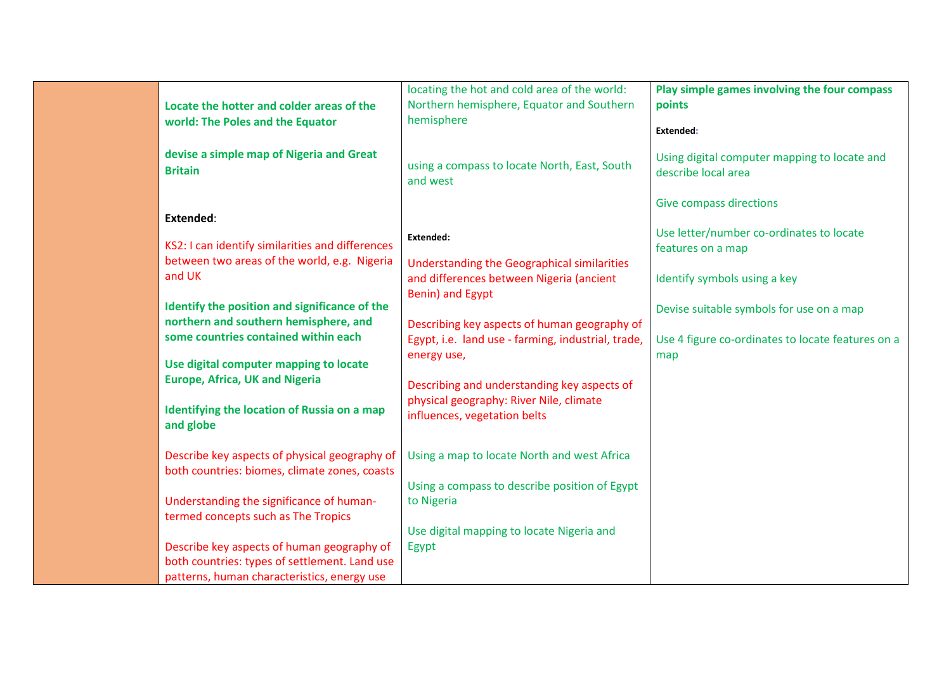|                                                  | locating the hot and cold area of the world:       | Play simple games involving the four compass      |
|--------------------------------------------------|----------------------------------------------------|---------------------------------------------------|
| Locate the hotter and colder areas of the        | Northern hemisphere, Equator and Southern          | points                                            |
|                                                  |                                                    |                                                   |
| world: The Poles and the Equator                 | hemisphere                                         | Extended:                                         |
|                                                  |                                                    |                                                   |
| devise a simple map of Nigeria and Great         | using a compass to locate North, East, South       | Using digital computer mapping to locate and      |
| <b>Britain</b>                                   | and west                                           | describe local area                               |
|                                                  |                                                    |                                                   |
|                                                  |                                                    | <b>Give compass directions</b>                    |
| Extended:                                        |                                                    |                                                   |
|                                                  | <b>Extended:</b>                                   | Use letter/number co-ordinates to locate          |
| KS2: I can identify similarities and differences |                                                    | features on a map                                 |
| between two areas of the world, e.g. Nigeria     | Understanding the Geographical similarities        |                                                   |
| and UK                                           | and differences between Nigeria (ancient           | Identify symbols using a key                      |
|                                                  | Benin) and Egypt                                   |                                                   |
| Identify the position and significance of the    |                                                    | Devise suitable symbols for use on a map          |
| northern and southern hemisphere, and            | Describing key aspects of human geography of       |                                                   |
| some countries contained within each             | Egypt, i.e. land use - farming, industrial, trade, | Use 4 figure co-ordinates to locate features on a |
|                                                  |                                                    |                                                   |
| Use digital computer mapping to locate           | energy use,                                        | map                                               |
| <b>Europe, Africa, UK and Nigeria</b>            |                                                    |                                                   |
|                                                  | Describing and understanding key aspects of        |                                                   |
| Identifying the location of Russia on a map      | physical geography: River Nile, climate            |                                                   |
| and globe                                        | influences, vegetation belts                       |                                                   |
|                                                  |                                                    |                                                   |
| Describe key aspects of physical geography of    | Using a map to locate North and west Africa        |                                                   |
|                                                  |                                                    |                                                   |
| both countries: biomes, climate zones, coasts    |                                                    |                                                   |
|                                                  | Using a compass to describe position of Egypt      |                                                   |
| Understanding the significance of human-         | to Nigeria                                         |                                                   |
| termed concepts such as The Tropics              |                                                    |                                                   |
|                                                  | Use digital mapping to locate Nigeria and          |                                                   |
| Describe key aspects of human geography of       | Egypt                                              |                                                   |
| both countries: types of settlement. Land use    |                                                    |                                                   |
| patterns, human characteristics, energy use      |                                                    |                                                   |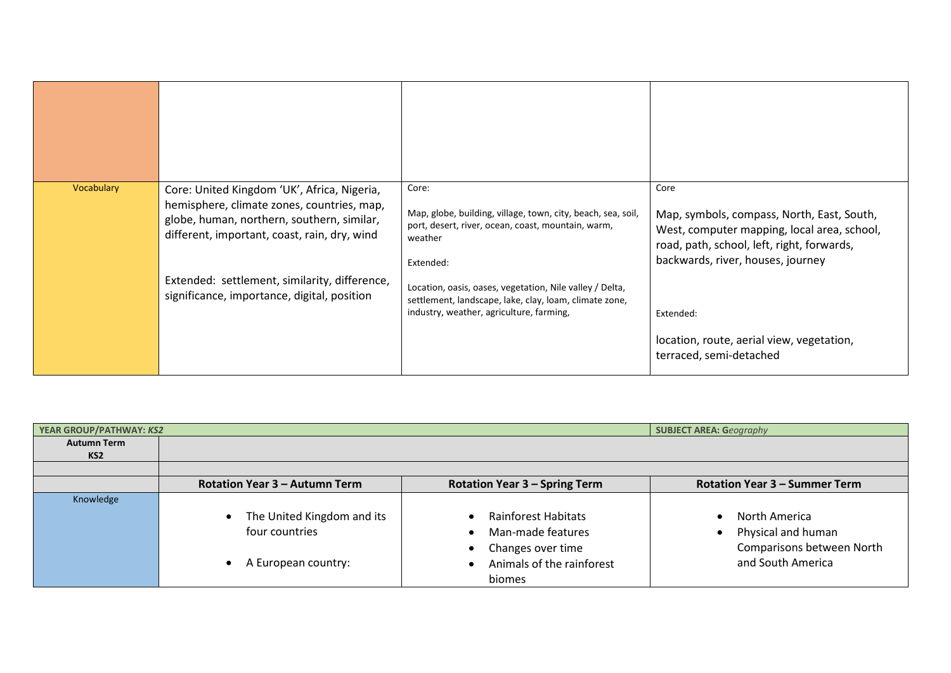| Vocabulary | Core: United Kingdom 'UK', Africa, Nigeria,<br>hemisphere, climate zones, countries, map,<br>globe, human, northern, southern, similar,<br>different, important, coast, rain, dry, wind | Core:<br>Map, globe, building, village, town, city, beach, sea, soil,<br>port, desert, river, ocean, coast, mountain, warm,<br>weather<br>Extended:            | Core<br>Map, symbols, compass, North, East, South,<br>West, computer mapping, local area, school,<br>road, path, school, left, right, forwards,<br>backwards, river, houses, journey |
|------------|-----------------------------------------------------------------------------------------------------------------------------------------------------------------------------------------|----------------------------------------------------------------------------------------------------------------------------------------------------------------|--------------------------------------------------------------------------------------------------------------------------------------------------------------------------------------|
|            | Extended: settlement, similarity, difference,<br>significance, importance, digital, position                                                                                            | Location, oasis, oases, vegetation, Nile valley / Delta,<br>settlement, landscape, lake, clay, loam, climate zone,<br>industry, weather, agriculture, farming, | Extended:<br>location, route, aerial view, vegetation,<br>terraced, semi-detached                                                                                                    |

| YEAR GROUP/PATHWAY: KS2 |                               |                                      | <b>SUBJECT AREA: Geography</b>       |
|-------------------------|-------------------------------|--------------------------------------|--------------------------------------|
| <b>Autumn Term</b>      |                               |                                      |                                      |
| KS <sub>2</sub>         |                               |                                      |                                      |
|                         |                               |                                      |                                      |
|                         | Rotation Year 3 - Autumn Term | <b>Rotation Year 3 - Spring Term</b> | <b>Rotation Year 3 - Summer Term</b> |
| Knowledge               |                               |                                      |                                      |
|                         | • The United Kingdom and its  | Rainforest Habitats                  | North America                        |
|                         | four countries                | Man-made features<br>$\bullet$       | Physical and human                   |
|                         |                               | Changes over time<br>٠               | Comparisons between North            |
|                         | A European country:           | Animals of the rainforest            | and South America                    |
|                         |                               | biomes                               |                                      |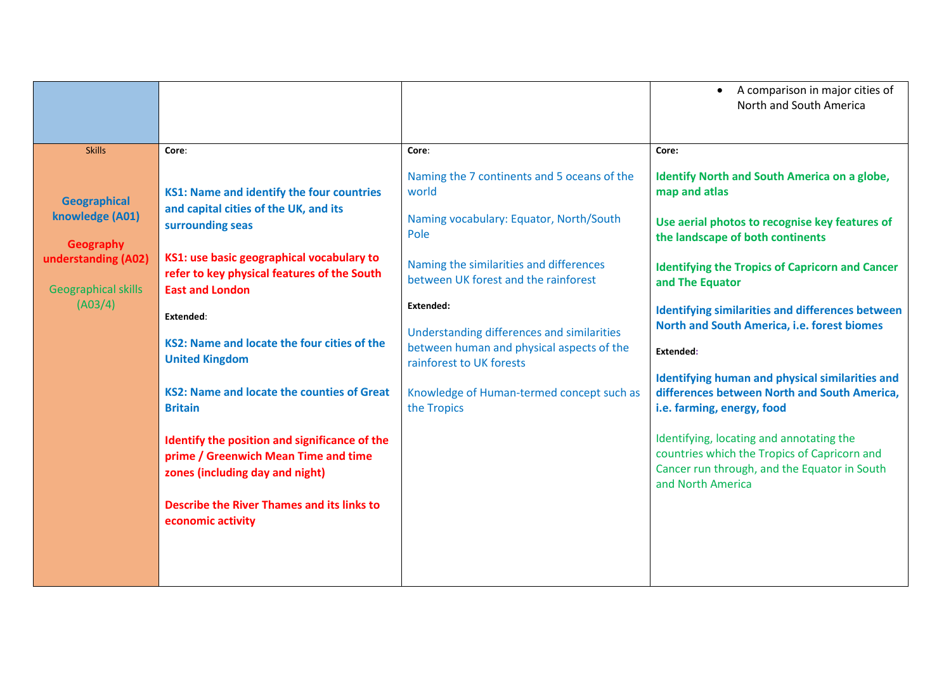|                                                   |                                                                                                                          |                                                                                 | A comparison in major cities of<br>North and South America                                                                                                    |
|---------------------------------------------------|--------------------------------------------------------------------------------------------------------------------------|---------------------------------------------------------------------------------|---------------------------------------------------------------------------------------------------------------------------------------------------------------|
|                                                   |                                                                                                                          |                                                                                 |                                                                                                                                                               |
| <b>Skills</b>                                     | Core:                                                                                                                    | Core:                                                                           | Core:                                                                                                                                                         |
| <b>Geographical</b>                               | <b>KS1: Name and identify the four countries</b>                                                                         | Naming the 7 continents and 5 oceans of the<br>world                            | Identify North and South America on a globe,<br>map and atlas                                                                                                 |
| knowledge (A01)<br>Geography                      | and capital cities of the UK, and its<br>surrounding seas                                                                | Naming vocabulary: Equator, North/South<br>Pole                                 | Use aerial photos to recognise key features of<br>the landscape of both continents                                                                            |
| understanding (A02)<br><b>Geographical skills</b> | KS1: use basic geographical vocabulary to<br>refer to key physical features of the South<br><b>East and London</b>       | Naming the similarities and differences<br>between UK forest and the rainforest | <b>Identifying the Tropics of Capricorn and Cancer</b><br>and The Equator                                                                                     |
| (A03/4)                                           | Extended:                                                                                                                | Extended:<br>Understanding differences and similarities                         | <b>Identifying similarities and differences between</b><br>North and South America, i.e. forest biomes                                                        |
|                                                   | KS2: Name and locate the four cities of the<br><b>United Kingdom</b>                                                     | between human and physical aspects of the<br>rainforest to UK forests           | Extended:                                                                                                                                                     |
|                                                   | KS2: Name and locate the counties of Great<br><b>Britain</b>                                                             | Knowledge of Human-termed concept such as<br>the Tropics                        | Identifying human and physical similarities and<br>differences between North and South America,<br>i.e. farming, energy, food                                 |
|                                                   | Identify the position and significance of the<br>prime / Greenwich Mean Time and time<br>zones (including day and night) |                                                                                 | Identifying, locating and annotating the<br>countries which the Tropics of Capricorn and<br>Cancer run through, and the Equator in South<br>and North America |
|                                                   | <b>Describe the River Thames and its links to</b><br>economic activity                                                   |                                                                                 |                                                                                                                                                               |
|                                                   |                                                                                                                          |                                                                                 |                                                                                                                                                               |